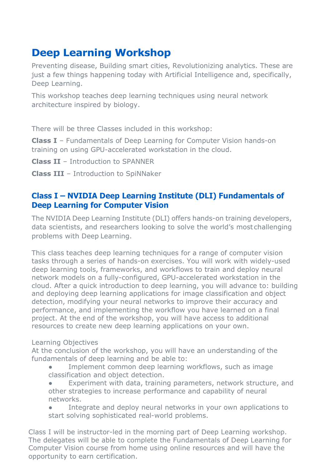## **Deep Learning Workshop**

Preventing disease, Building smart cities, Revolutionizing analytics. These are just a few things happening today with Artificial Intelligence and, specifically, Deep Learning.

This workshop teaches deep learning techniques using neural network architecture inspired by biology.

There will be three Classes included in this workshop:

**Class I** – Fundamentals of Deep Learning for Computer Vision hands-on training on using GPU-accelerated workstation in the cloud.

**Class II** – Introduction to SPANNER

**Class III** – Introduction to SpiNNaker

## **Class I – NVIDIA Deep Learning Institute (DLI) Fundamentals of Deep Learning for Computer Vision**

The NVIDIA Deep Learning Institute (DLI) offers hands-on training developers, data scientists, and researchers looking to solve the world's most challenging problems with Deep Learning.

This class teaches deep learning techniques for a range of computer vision tasks through a series of hands-on exercises. You will work with widely-used deep learning tools, frameworks, and workflows to train and deploy neural network models on a fully-configured, GPU-accelerated workstation in the cloud. After a quick introduction to deep learning, you will advance to: building and deploying deep learning applications for image classification and object detection, modifying your neural networks to improve their accuracy and performance, and implementing the workflow you have learned on a final project. At the end of the workshop, you will have access to additional resources to create new deep learning applications on your own.

#### Learning Objectives

At the conclusion of the workshop, you will have an understanding of the fundamentals of deep learning and be able to:

- Implement common deep learning workflows, such as image classification and object detection.
- Experiment with data, training parameters, network structure, and other strategies to increase performance and capability of neural networks.
- Integrate and deploy neural networks in your own applications to start solving sophisticated real-world problems.

Class I will be instructor-led in the morning part of Deep Learning workshop. The delegates will be able to complete the Fundamentals of Deep Learning for Computer Vision course from home using online resources and will have the opportunity to earn certification.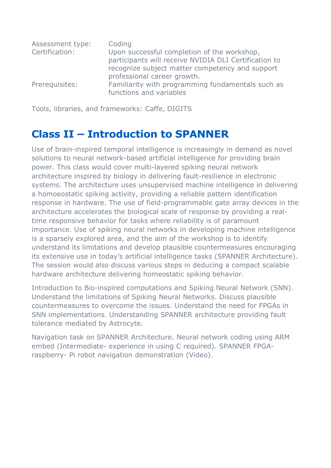| Assessment type: | Coding                                                                       |
|------------------|------------------------------------------------------------------------------|
| Certification:   | Upon successful completion of the workshop,                                  |
|                  | participants will receive NVIDIA DLI Certification to                        |
|                  | recognize subject matter competency and support                              |
|                  | professional career growth.                                                  |
| Prerequisites:   | Familiarity with programming fundamentals such as<br>functions and variables |

Tools, libraries, and frameworks: Caffe, DIGITS

# **Class II – Introduction to SPANNER**

Use of brain-inspired temporal intelligence is increasingly in demand as novel solutions to neural network-based artificial intelligence for providing brain power. This class would cover multi-layered spiking neural network architecture inspired by biology in delivering fault-resilience in electronic systems. The architecture uses unsupervised machine intelligence in delivering a homoeostatic spiking activity, providing a reliable pattern identification response in hardware. The use of field-programmable gate array devices in the architecture accelerates the biological scale of response by providing a realtime responsive behavior for tasks where reliability is of paramount importance. Use of spiking neural networks in developing machine intelligence is a sparsely explored area, and the aim of the workshop is to identify understand its limitations and develop plausible countermeasures encouraging its extensive use in today's artificial intelligence tasks (SPANNER Architecture). The session would also discuss various steps in deducing a compact scalable hardware architecture delivering homeostatic spiking behavior.

Introduction to Bio-inspired computations and Spiking Neural Network (SNN). Understand the limitations of Spiking Neural Networks. Discuss plausible countermeasures to overcome the issues. Understand the need for FPGAs in SNN implementations. Understanding SPANNER architecture providing fault tolerance mediated by Astrocyte.

Navigation task on SPANNER Architecture. Neural network coding using ARM embed (Intermediate- experience in using C required). SPANNER FPGAraspberry- Pi robot navigation demonstration (Video).